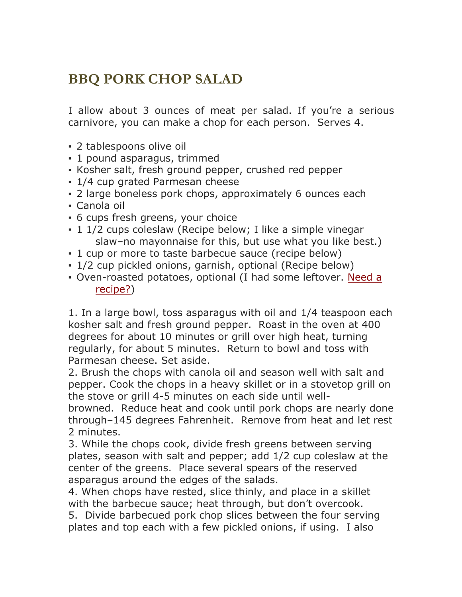## **BBQ PORK CHOP SALAD**

I allow about 3 ounces of meat per salad. If you're a serious carnivore, you can make a chop for each person. Serves 4.

- 2 tablespoons olive oil
- 1 pound asparagus, trimmed
- Kosher salt, fresh ground pepper, crushed red pepper
- 1/4 cup grated Parmesan cheese
- 2 large boneless pork chops, approximately 6 ounces each
- Canola oil
- 6 cups fresh greens, your choice
- 1 1/2 cups coleslaw (Recipe below; I like a simple vinegar slaw–no mayonnaise for this, but use what you like best.)
- 1 cup or more to taste barbecue sauce (recipe below)
- 1/2 cup pickled onions, garnish, optional (Recipe below)
- Oven-roasted potatoes, optional (I had some leftover. Need a recipe?)

1. In a large bowl, toss asparagus with oil and 1/4 teaspoon each kosher salt and fresh ground pepper. Roast in the oven at 400 degrees for about 10 minutes or grill over high heat, turning regularly, for about 5 minutes. Return to bowl and toss with Parmesan cheese. Set aside.

2. Brush the chops with canola oil and season well with salt and pepper. Cook the chops in a heavy skillet or in a stovetop grill on the stove or grill 4-5 minutes on each side until well-

browned. Reduce heat and cook until pork chops are nearly done through–145 degrees Fahrenheit. Remove from heat and let rest 2 minutes.

3. While the chops cook, divide fresh greens between serving plates, season with salt and pepper; add 1/2 cup coleslaw at the center of the greens. Place several spears of the reserved asparagus around the edges of the salads.

4. When chops have rested, slice thinly, and place in a skillet with the barbecue sauce; heat through, but don't overcook.

5. Divide barbecued pork chop slices between the four serving plates and top each with a few pickled onions, if using. I also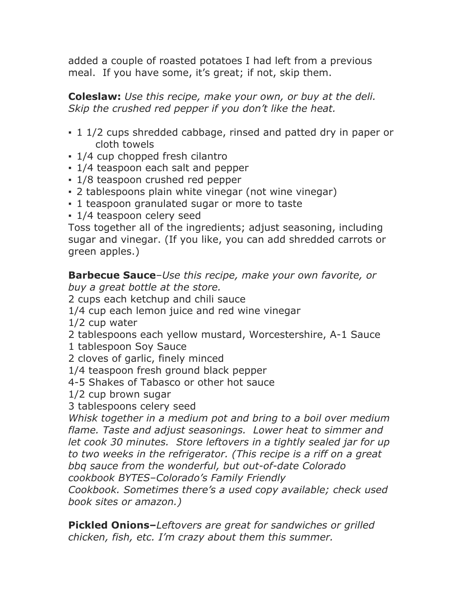added a couple of roasted potatoes I had left from a previous meal. If you have some, it's great; if not, skip them.

**Coleslaw:** *Use this recipe, make your own, or buy at the deli. Skip the crushed red pepper if you don't like the heat.*

- 1 1/2 cups shredded cabbage, rinsed and patted dry in paper or cloth towels
- 1/4 cup chopped fresh cilantro
- 1/4 teaspoon each salt and pepper
- 1/8 teaspoon crushed red pepper
- 2 tablespoons plain white vinegar (not wine vinegar)
- 1 teaspoon granulated sugar or more to taste
- 1/4 teaspoon celery seed

Toss together all of the ingredients; adjust seasoning, including sugar and vinegar. (If you like, you can add shredded carrots or green apples.)

**Barbecue Sauce***–Use this recipe, make your own favorite, or buy a great bottle at the store.*

2 cups each ketchup and chili sauce

- 1/4 cup each lemon juice and red wine vinegar
- 1/2 cup water
- 2 tablespoons each yellow mustard, Worcestershire, A-1 Sauce
- 1 tablespoon Soy Sauce
- 2 cloves of garlic, finely minced
- 1/4 teaspoon fresh ground black pepper
- 4-5 Shakes of Tabasco or other hot sauce
- 1/2 cup brown sugar
- 3 tablespoons celery seed

*Whisk together in a medium pot and bring to a boil over medium flame. Taste and adjust seasonings. Lower heat to simmer and let cook 30 minutes. Store leftovers in a tightly sealed jar for up to two weeks in the refrigerator. (This recipe is a riff on a great bbq sauce from the wonderful, but out-of-date Colorado cookbook BYTES–Colorado's Family Friendly* 

*Cookbook. Sometimes there's a used copy available; check used book sites or amazon.)*

**Pickled Onions–***Leftovers are great for sandwiches or grilled chicken, fish, etc. I'm crazy about them this summer.*